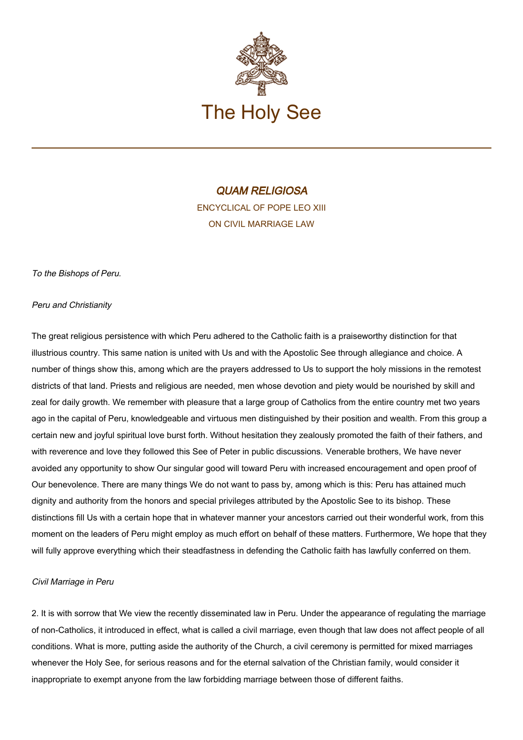

# QUAM RELIGIOSA ENCYCLICAL OF POPE LEO XIII ON CIVIL MARRIAGE LAW

To the Bishops of Peru.

### Peru and Christianity

The great religious persistence with which Peru adhered to the Catholic faith is a praiseworthy distinction for that illustrious country. This same nation is united with Us and with the Apostolic See through allegiance and choice. A number of things show this, among which are the prayers addressed to Us to support the holy missions in the remotest districts of that land. Priests and religious are needed, men whose devotion and piety would be nourished by skill and zeal for daily growth. We remember with pleasure that a large group of Catholics from the entire country met two years ago in the capital of Peru, knowledgeable and virtuous men distinguished by their position and wealth. From this group a certain new and joyful spiritual love burst forth. Without hesitation they zealously promoted the faith of their fathers, and with reverence and love they followed this See of Peter in public discussions. Venerable brothers, We have never avoided any opportunity to show Our singular good will toward Peru with increased encouragement and open proof of Our benevolence. There are many things We do not want to pass by, among which is this: Peru has attained much dignity and authority from the honors and special privileges attributed by the Apostolic See to its bishop. These distinctions fill Us with a certain hope that in whatever manner your ancestors carried out their wonderful work, from this moment on the leaders of Peru might employ as much effort on behalf of these matters. Furthermore, We hope that they will fully approve everything which their steadfastness in defending the Catholic faith has lawfully conferred on them.

#### Civil Marriage in Peru

2. It is with sorrow that We view the recently disseminated law in Peru. Under the appearance of regulating the marriage of non-Catholics, it introduced in effect, what is called a civil marriage, even though that law does not affect people of all conditions. What is more, putting aside the authority of the Church, a civil ceremony is permitted for mixed marriages whenever the Holy See, for serious reasons and for the eternal salvation of the Christian family, would consider it inappropriate to exempt anyone from the law forbidding marriage between those of different faiths.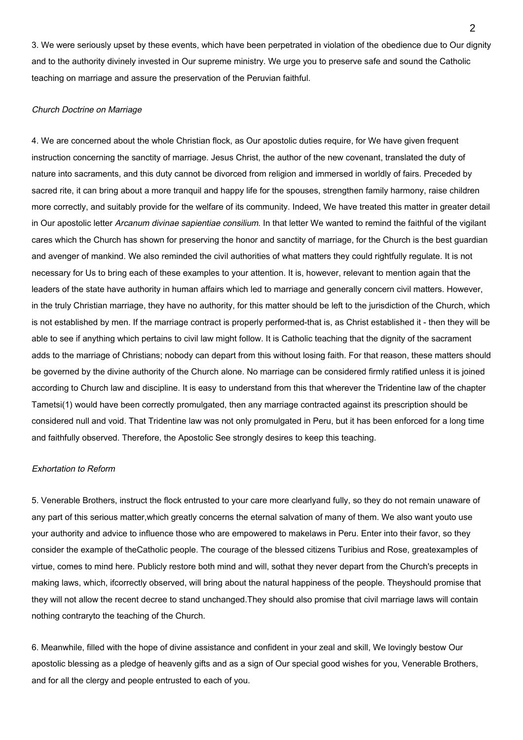3. We were seriously upset by these events, which have been perpetrated in violation of the obedience due to Our dignity and to the authority divinely invested in Our supreme ministry. We urge you to preserve safe and sound the Catholic teaching on marriage and assure the preservation of the Peruvian faithful.

### Church Doctrine on Marriage

4. We are concerned about the whole Christian flock, as Our apostolic duties require, for We have given frequent instruction concerning the sanctity of marriage. Jesus Christ, the author of the new covenant, translated the duty of nature into sacraments, and this duty cannot be divorced from religion and immersed in worldly of fairs. Preceded by sacred rite, it can bring about a more tranquil and happy life for the spouses, strengthen family harmony, raise children more correctly, and suitably provide for the welfare of its community. Indeed, We have treated this matter in greater detail in Our apostolic letter Arcanum divinae sapientiae consilium. In that letter We wanted to remind the faithful of the vigilant cares which the Church has shown for preserving the honor and sanctity of marriage, for the Church is the best guardian and avenger of mankind. We also reminded the civil authorities of what matters they could rightfully regulate. It is not necessary for Us to bring each of these examples to your attention. It is, however, relevant to mention again that the leaders of the state have authority in human affairs which led to marriage and generally concern civil matters. However, in the truly Christian marriage, they have no authority, for this matter should be left to the jurisdiction of the Church, which is not established by men. If the marriage contract is properly performed-that is, as Christ established it - then they will be able to see if anything which pertains to civil law might follow. It is Catholic teaching that the dignity of the sacrament adds to the marriage of Christians; nobody can depart from this without losing faith. For that reason, these matters should be governed by the divine authority of the Church alone. No marriage can be considered firmly ratified unless it is joined according to Church law and discipline. It is easy to understand from this that wherever the Tridentine law of the chapter Tametsi(1) would have been correctly promulgated, then any marriage contracted against its prescription should be considered null and void. That Tridentine law was not only promulgated in Peru, but it has been enforced for a long time and faithfully observed. Therefore, the Apostolic See strongly desires to keep this teaching.

#### Exhortation to Reform

5. Venerable Brothers, instruct the flock entrusted to your care more clearlyand fully, so they do not remain unaware of any part of this serious matter,which greatly concerns the eternal salvation of many of them. We also want youto use your authority and advice to influence those who are empowered to makelaws in Peru. Enter into their favor, so they consider the example of theCatholic people. The courage of the blessed citizens Turibius and Rose, greatexamples of virtue, comes to mind here. Publicly restore both mind and will, sothat they never depart from the Church's precepts in making laws, which, ifcorrectly observed, will bring about the natural happiness of the people. Theyshould promise that they will not allow the recent decree to stand unchanged.They should also promise that civil marriage laws will contain nothing contraryto the teaching of the Church.

6. Meanwhile, filled with the hope of divine assistance and confident in your zeal and skill, We lovingly bestow Our apostolic blessing as a pledge of heavenly gifts and as a sign of Our special good wishes for you, Venerable Brothers, and for all the clergy and people entrusted to each of you.